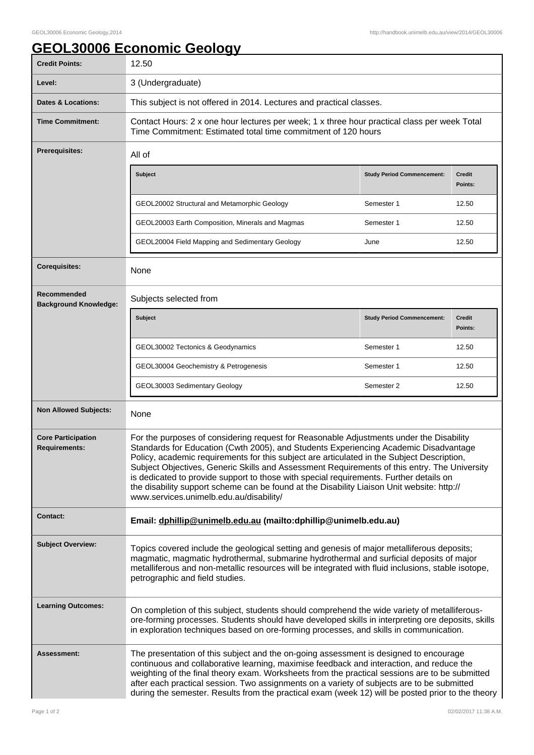## **GEOL30006 Economic Geology**

| <b>Credit Points:</b>                             | 12.50                                                                                                                                                                                                                                                                                                                                                                                                                                                                                                                                                                                                            |                                   |                          |
|---------------------------------------------------|------------------------------------------------------------------------------------------------------------------------------------------------------------------------------------------------------------------------------------------------------------------------------------------------------------------------------------------------------------------------------------------------------------------------------------------------------------------------------------------------------------------------------------------------------------------------------------------------------------------|-----------------------------------|--------------------------|
| Level:                                            | 3 (Undergraduate)                                                                                                                                                                                                                                                                                                                                                                                                                                                                                                                                                                                                |                                   |                          |
| <b>Dates &amp; Locations:</b>                     | This subject is not offered in 2014. Lectures and practical classes.                                                                                                                                                                                                                                                                                                                                                                                                                                                                                                                                             |                                   |                          |
| <b>Time Commitment:</b>                           | Contact Hours: 2 x one hour lectures per week; 1 x three hour practical class per week Total<br>Time Commitment: Estimated total time commitment of 120 hours                                                                                                                                                                                                                                                                                                                                                                                                                                                    |                                   |                          |
| <b>Prerequisites:</b>                             | All of                                                                                                                                                                                                                                                                                                                                                                                                                                                                                                                                                                                                           |                                   |                          |
|                                                   | <b>Subject</b>                                                                                                                                                                                                                                                                                                                                                                                                                                                                                                                                                                                                   | <b>Study Period Commencement:</b> | <b>Credit</b><br>Points: |
|                                                   | GEOL20002 Structural and Metamorphic Geology                                                                                                                                                                                                                                                                                                                                                                                                                                                                                                                                                                     | Semester 1                        | 12.50                    |
|                                                   | GEOL20003 Earth Composition, Minerals and Magmas                                                                                                                                                                                                                                                                                                                                                                                                                                                                                                                                                                 | Semester 1                        | 12.50                    |
|                                                   | GEOL20004 Field Mapping and Sedimentary Geology                                                                                                                                                                                                                                                                                                                                                                                                                                                                                                                                                                  | June                              | 12.50                    |
| <b>Corequisites:</b>                              | None                                                                                                                                                                                                                                                                                                                                                                                                                                                                                                                                                                                                             |                                   |                          |
| Recommended<br><b>Background Knowledge:</b>       | Subjects selected from                                                                                                                                                                                                                                                                                                                                                                                                                                                                                                                                                                                           |                                   |                          |
|                                                   | <b>Subject</b>                                                                                                                                                                                                                                                                                                                                                                                                                                                                                                                                                                                                   | <b>Study Period Commencement:</b> | <b>Credit</b><br>Points: |
|                                                   | GEOL30002 Tectonics & Geodynamics                                                                                                                                                                                                                                                                                                                                                                                                                                                                                                                                                                                | Semester 1                        | 12.50                    |
|                                                   | GEOL30004 Geochemistry & Petrogenesis                                                                                                                                                                                                                                                                                                                                                                                                                                                                                                                                                                            | Semester 1                        | 12.50                    |
|                                                   | GEOL30003 Sedimentary Geology                                                                                                                                                                                                                                                                                                                                                                                                                                                                                                                                                                                    | Semester 2                        | 12.50                    |
| <b>Non Allowed Subjects:</b>                      | None                                                                                                                                                                                                                                                                                                                                                                                                                                                                                                                                                                                                             |                                   |                          |
| <b>Core Participation</b><br><b>Requirements:</b> | For the purposes of considering request for Reasonable Adjustments under the Disability<br>Standards for Education (Cwth 2005), and Students Experiencing Academic Disadvantage<br>Policy, academic requirements for this subject are articulated in the Subject Description,<br>Subject Objectives, Generic Skills and Assessment Requirements of this entry. The University<br>is dedicated to provide support to those with special requirements. Further details on<br>the disability support scheme can be found at the Disability Liaison Unit website: http://<br>www.services.unimelb.edu.au/disability/ |                                   |                          |
| <b>Contact:</b>                                   | Email: dphillip@unimelb.edu.au (mailto:dphillip@unimelb.edu.au)                                                                                                                                                                                                                                                                                                                                                                                                                                                                                                                                                  |                                   |                          |
| <b>Subject Overview:</b>                          | Topics covered include the geological setting and genesis of major metalliferous deposits;<br>magmatic, magmatic hydrothermal, submarine hydrothermal and surficial deposits of major<br>metalliferous and non-metallic resources will be integrated with fluid inclusions, stable isotope,<br>petrographic and field studies.                                                                                                                                                                                                                                                                                   |                                   |                          |
| <b>Learning Outcomes:</b>                         | On completion of this subject, students should comprehend the wide variety of metalliferous-<br>ore-forming processes. Students should have developed skills in interpreting ore deposits, skills<br>in exploration techniques based on ore-forming processes, and skills in communication.                                                                                                                                                                                                                                                                                                                      |                                   |                          |
| Assessment:                                       | The presentation of this subject and the on-going assessment is designed to encourage<br>continuous and collaborative learning, maximise feedback and interaction, and reduce the<br>weighting of the final theory exam. Worksheets from the practical sessions are to be submitted<br>after each practical session. Two assignments on a variety of subjects are to be submitted<br>during the semester. Results from the practical exam (week 12) will be posted prior to the theory                                                                                                                           |                                   |                          |